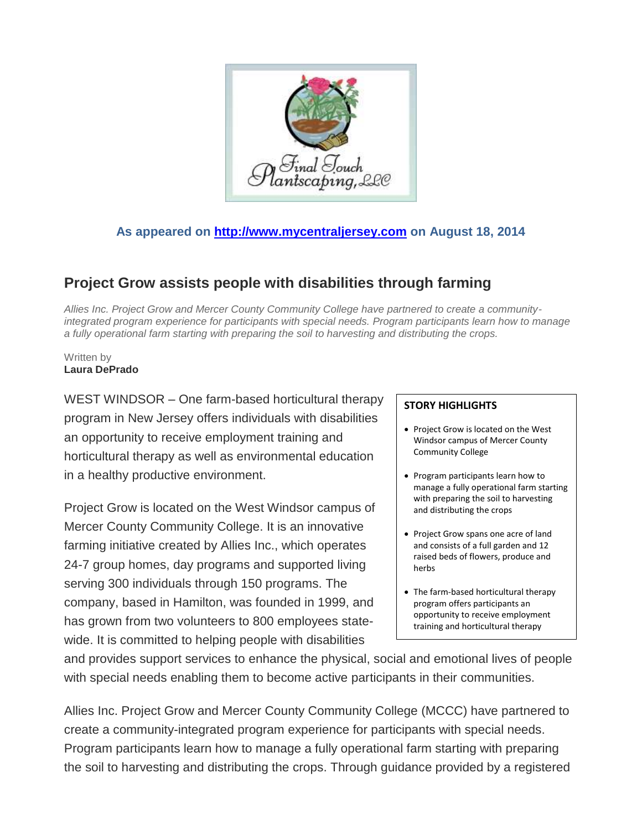

## **As appeared on [http://www.mycentraljersey.com](http://www.mycentraljersey.com/) on August 18, 2014**

## **Project Grow assists people with disabilities through farming**

*Allies Inc. Project Grow and Mercer County Community College have partnered to create a communityintegrated program experience for participants with special needs. Program participants learn how to manage a fully operational farm starting with preparing the soil to harvesting and distributing the crops.*

Written by **Laura DePrado**

WEST WINDSOR – One farm-based horticultural therapy program in New Jersey offers individuals with disabilities an opportunity to receive employment training and horticultural therapy as well as environmental education in a healthy productive environment.

Project Grow is located on the West Windsor campus of Mercer County Community College. It is an innovative farming initiative created by Allies Inc., which operates 24-7 group homes, day programs and supported living serving 300 individuals through 150 programs. The company, based in Hamilton, was founded in 1999, and has grown from two volunteers to 800 employees statewide. It is committed to helping people with disabilities

## **STORY HIGHLIGHTS**

- Project Grow is located on the West Windsor campus of Mercer County Community College
- Program participants learn how to manage a fully operational farm starting with preparing the soil to harvesting and distributing the crops
- Project Grow spans one acre of land and consists of a full garden and 12 raised beds of flowers, produce and herbs
- The farm-based horticultural therapy program offers participants an opportunity to receive employment training and horticultural therapy

and provides support services to enhance the physical, social and emotional lives of people with special needs enabling them to become active participants in their communities.

Allies Inc. Project Grow and Mercer County Community College (MCCC) have partnered to create a community-integrated program experience for participants with special needs. Program participants learn how to manage a fully operational farm starting with preparing the soil to harvesting and distributing the crops. Through guidance provided by a registered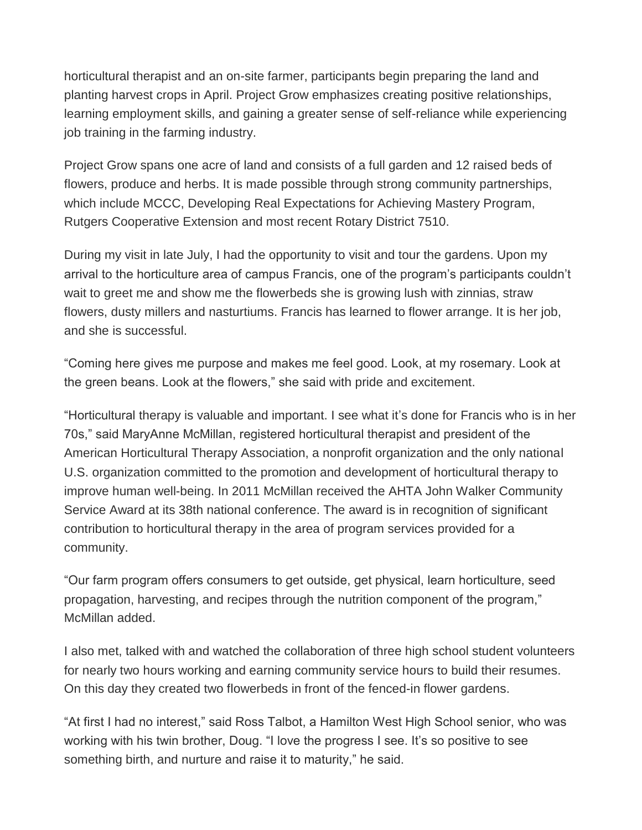horticultural therapist and an on-site farmer, participants begin preparing the land and planting harvest crops in April. Project Grow emphasizes creating positive relationships, learning employment skills, and gaining a greater sense of self-reliance while experiencing job training in the farming industry.

Project Grow spans one acre of land and consists of a full garden and 12 raised beds of flowers, produce and herbs. It is made possible through strong community partnerships, which include MCCC, Developing Real Expectations for Achieving Mastery Program, Rutgers Cooperative Extension and most recent Rotary District 7510.

During my visit in late July, I had the opportunity to visit and tour the gardens. Upon my arrival to the horticulture area of campus Francis, one of the program's participants couldn't wait to greet me and show me the flowerbeds she is growing lush with zinnias, straw flowers, dusty millers and nasturtiums. Francis has learned to flower arrange. It is her job, and she is successful.

"Coming here gives me purpose and makes me feel good. Look, at my rosemary. Look at the green beans. Look at the flowers," she said with pride and excitement.

"Horticultural therapy is valuable and important. I see what it's done for Francis who is in her 70s," said MaryAnne McMillan, registered horticultural therapist and president of the American Horticultural Therapy Association, a nonprofit organization and the only national U.S. organization committed to the promotion and development of horticultural therapy to improve human well-being. In 2011 McMillan received the AHTA John Walker Community Service Award at its 38th national conference. The award is in recognition of significant contribution to horticultural therapy in the area of program services provided for a community.

"Our farm program offers consumers to get outside, get physical, learn horticulture, seed propagation, harvesting, and recipes through the nutrition component of the program," McMillan added.

I also met, talked with and watched the collaboration of three high school student volunteers for nearly two hours working and earning community service hours to build their resumes. On this day they created two flowerbeds in front of the fenced-in flower gardens.

"At first I had no interest," said Ross Talbot, a Hamilton West High School senior, who was working with his twin brother, Doug. "I love the progress I see. It's so positive to see something birth, and nurture and raise it to maturity," he said.